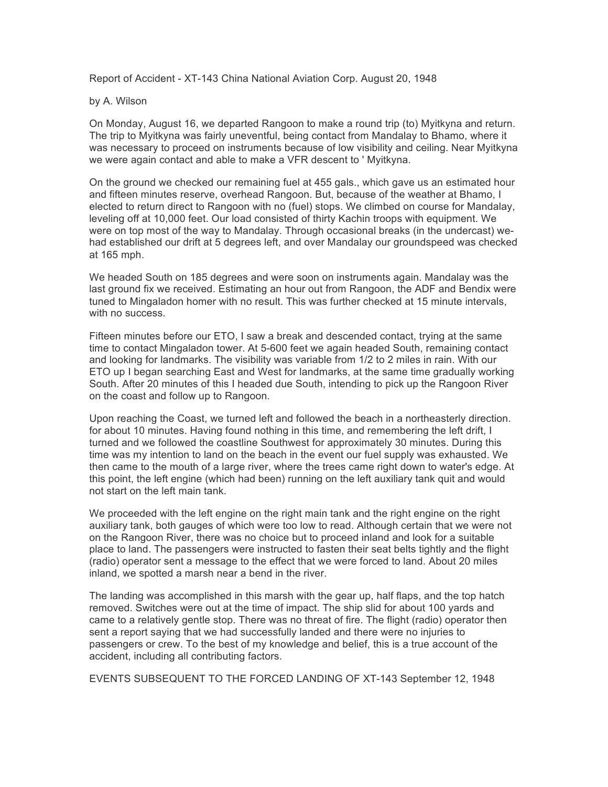Report of Accident - XT-143 China National Aviation Corp. August 20, 1948

## by A. Wilson

On Monday, August 16, we departed Rangoon to make a round trip (to) Myitkyna and return. The trip to Myitkyna was fairly uneventful, being contact from Mandalay to Bhamo, where it was necessary to proceed on instruments because of low visibility and ceiling. Near Myitkyna we were again contact and able to make a VFR descent to ' Myitkyna.

On the ground we checked our remaining fuel at 455 gals., which gave us an estimated hour and fifteen minutes reserve, overhead Rangoon. But, because of the weather at Bhamo, I elected to return direct to Rangoon with no (fuel) stops. We climbed on course for Mandalay, leveling off at 10,000 feet. Our load consisted of thirty Kachin troops with equipment. We were on top most of the way to Mandalay. Through occasional breaks (in the undercast) wehad established our drift at 5 degrees left, and over Mandalay our groundspeed was checked at 165 mph.

We headed South on 185 degrees and were soon on instruments again. Mandalay was the last ground fix we received. Estimating an hour out from Rangoon, the ADF and Bendix were tuned to Mingaladon homer with no result. This was further checked at 15 minute intervals, with no success.

Fifteen minutes before our ETO, I saw a break and descended contact, trying at the same time to contact Mingaladon tower. At 5-600 feet we again headed South, remaining contact and looking for landmarks. The visibility was variable from 1/2 to 2 miles in rain. With our ETO up I began searching East and West for landmarks, at the same time gradually working South. After 20 minutes of this I headed due South, intending to pick up the Rangoon River on the coast and follow up to Rangoon.

Upon reaching the Coast, we turned left and followed the beach in a northeasterly direction. for about 10 minutes. Having found nothing in this time, and remembering the left drift, I turned and we followed the coastline Southwest for approximately 30 minutes. During this time was my intention to land on the beach in the event our fuel supply was exhausted. We then came to the mouth of a large river, where the trees came right down to water's edge. At this point, the left engine (which had been) running on the left auxiliary tank quit and would not start on the left main tank.

We proceeded with the left engine on the right main tank and the right engine on the right auxiliary tank, both gauges of which were too low to read. Although certain that we were not on the Rangoon River, there was no choice but to proceed inland and look for a suitable place to land. The passengers were instructed to fasten their seat belts tightly and the flight (radio) operator sent a message to the effect that we were forced to land. About 20 miles inland, we spotted a marsh near a bend in the river.

The landing was accomplished in this marsh with the gear up, half flaps, and the top hatch removed. Switches were out at the time of impact. The ship slid for about 100 yards and came to a relatively gentle stop. There was no threat of fire. The flight (radio) operator then sent a report saying that we had successfully landed and there were no injuries to passengers or crew. To the best of my knowledge and belief, this is a true account of the accident, including all contributing factors.

EVENTS SUBSEQUENT TO THE FORCED LANDING OF XT-143 September 12, 1948